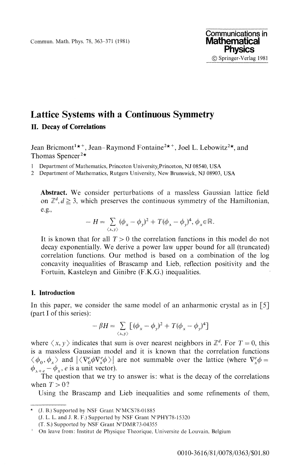Commun. Math. Phys. 78, 363-371 (1981)

# Lattice Systems with a Continuous Symmetry **II. Decay of Correlations**

Jean Bricmont<sup>1\*\*</sup>, Jean-Raymond Fontaine<sup>2\*\*</sup>, Joel L. Lebowitz<sup>2\*</sup>, and Thomas Spencer<sup>2\*</sup>

1 Department of Mathematics, Princeton University,Princeton, NJ 08540, USA

2 Department of Mathematics, Rutgers University, New Brunswick, NJ 08903, USA

**Abstract.** We consider perturbations of a massless Gaussian lattice field on  $\mathbb{Z}^d, d \geq 3$ , which preserves the continuous symmetry of the Hamiltonian, e.g.,

$$
-H = \sum_{\langle x,y \rangle} (\phi_x - \phi_y)^2 + T(\phi_x - \phi_y)^4, \phi_x \in \mathbb{R}.
$$

It is known that for all  $T > 0$  the correlation functions in this model do not decay exponentially. We derive a power law upper bound for all (truncated) correlation functions. Our method is based on a combination of the log concavity inequalities of Brascamp and Lieb, reflection positivity and the Fortuin, Kasteleyn and Ginibre (F.K.G.) inequalities.

## **I. Introduction**

In this paper, we consider the same model of an anharmonic crystal as in  $\lceil 5 \rceil$ (part I of this series):

$$
-\beta H = \sum_{\langle x,y\rangle} \left[ (\phi_x - \phi_y)^2 + T(\phi_x - \phi_y)^4 \right]
$$

where  $\langle x, y \rangle$  indicates that sum is over nearest neighbors in  $\mathbb{Z}^d$ . For  $T = 0$ , this is a massless Gaussian model and it is known that the correlation functions  $\langle \phi_0, \phi_x \rangle$  and  $|\langle \nabla^e_\phi \phi \nabla^e_x \phi \rangle|$  are not summable over the lattice (where  $\nabla^e_x \phi =$  $\phi_{x+e} - \phi_x$ , *e* is a unit vector).

The question that we try to answer is: what is the decay of the correlations when  $T>0$ ?

Using the Brascamp and Lieb inequalities and some refinements of them,

<sup>(</sup>J. B.) Supported by NSF Grant N<sup>r</sup>MCS78-01885 (J. L. L. and J. R. F.) Supported by NSF Grant N'PHY78-15320 (T. S.) Supported by NSF Grant N<sup>r</sup>DMR73-04355

On leave from: Institut de Physique Theorique, Universite de Louvain, Belgium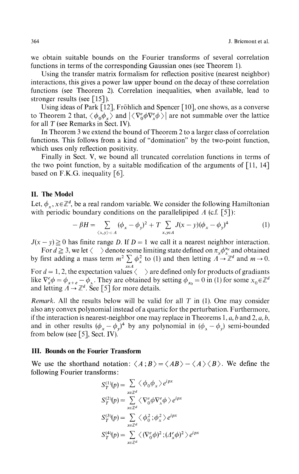we obtain suitable bounds on the Fourier transforms of several correlation functions in terms of the corresponding Gaussian ones (see Theorem 1).

Using the transfer matrix formalism for reflection positive (nearest neighbor) interactions, this gives a power law upper bound on the decay of these correlation functions (see Theorem 2). Correlation inequalities, when available, lead to stronger results (see  $\lceil 15 \rceil$ ).

Using ideas of Park [12], Fröhlich and Spencer [10], one shows, as a converse to Theorem 2 that,  $\langle \phi_0 \phi_x \rangle$  and  $|\langle \nabla_0^e \phi \nabla_x^e \phi \rangle|$  are not summable over the lattice for all *T* (see Remarks in Sect. IV).

In Theorem 3 we extend the bound of Theorem 2 to a larger class of correlation functions. This follows from a kind of "domination" by the two-point function, which uses only reflection positivity.

Finally in Sect. V, we bound all truncated correlation functions in terms of the two point function, by a suitable modification of the arguments of  $\lceil 11, 14 \rceil$ based on F.K.G. inequality [6].

## **II. The Model**

Let,  $\phi_x, x \in \mathbb{Z}^d$ , be a real random variable. We consider the following Hamiltonian with periodic boundary conditions on the parallelipiped  $\Lambda$  (c.f. [5]):

$$
-\beta H = \sum_{\langle x,y \rangle \subset A} (\phi_x - \phi_y)^2 + T \sum_{x,y \in A} J(x-y) (\phi_x - \phi_y)^4
$$
 (1)

 $J(x - y) \ge 0$  has finite range *D*. If  $D = 1$  we call it a nearest neighbor interaction.

For  $d \ge 3$ , we let  $\langle \rangle$  denote some limiting state defined on  $\pi_x \phi_x^{n_x}$  and obtained by first adding a mass term  $m^2 \sum \phi^2$  to (1) and then letting  $A \to \mathbb{Z}^d$  and  $m \to 0$ . *xeΛ* For *d —* 1,2, the expectation values < > are defined only for products of gradiants like  $V_x^e \phi = \phi_{x+e} - \phi_x$ . They are obtained by setting  $\phi_{x_0} = 0$  in (1) for some  $x_0 \in \mathbb{Z}^d$ and letting  $A \to \mathbb{Z}^d$ . See [5] for more details.

*Remark.* All the results below will be valid for all *T* in (1). One may consider also any convex polynomial instead of a quartic for the perturbation. Furthermore, if the interaction is nearest-neighbor one may replace in Theorems 1, α, *b* and 2, α, *b,* and in other results  $(\phi_x - \phi_y)^4$  by any polynomial in  $(\phi_x - \phi_y)$  semi-bounded from below (see [5], Sect. IV).

### **III. Bounds on the Fourier Transform**

We use the shorthand notation:  $\langle A; B \rangle = \langle AB \rangle - \langle A \rangle \langle B \rangle$ . We define the following Fourier transforms:

$$
S_T^{(1)}(p) = \sum_{x \in \mathbb{Z}^d} \langle \phi_0 \phi_x \rangle e^{ipx}
$$
  
\n
$$
S_T^{(2)}(p) = \sum_{x \in \mathbb{Z}^d} \langle \nabla_0^e \phi \nabla_x^e \phi \rangle e^{ipx}
$$
  
\n
$$
S_T^{(3)}(p) = \sum_{x \in \mathbb{Z}^d} \langle \phi_0^2 ; \phi_x^2 \rangle e^{ipx}
$$
  
\n
$$
S_T^{(4)}(p) = \sum_{x \in \mathbb{Z}^d} \langle (\nabla_0^e \phi)^2 ; (\Delta_x^e \phi)^2 \rangle e^{ipx}
$$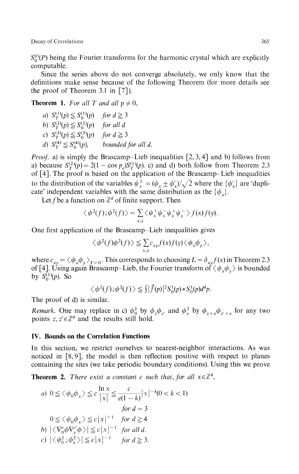Decay of Correlations 365

 $S_0^{(i)}(P)$  being the Fourier transforms for the harmonic crystal which are explicitly computable.

Since the series above do not converge absolutely, we only know that the definitions make sense because of the following Theorem (for more details see the proof of Theorem 3.1 in  $[7]$ ).

**Theorem 1.** *For all T and all*  $p \neq 0$ ,

\n- a) 
$$
S_T^{(1)}(p) \leq S_0^{(1)}(p)
$$
 for  $d \geq 3$
\n- b)  $S_T^{(2)}(p) \leq S_0^{(2)}(p)$  for all  $d$
\n- c)  $S_T^{(3)}(p) \leq S_0^{(3)}(p)$  for  $d \geq 3$
\n- d)  $S_T^{(4)} \leq S_0^{(4)}(p)$ , bounded for all  $d$ .
\n

*Proof.* a) is simply the Brascamp–Lieb inequalities [2, 3, 4] and b) follows from a) because  $S^{(2)}_T(p) = 2(1 - \cos p_e)S^{(1)}_T(p)$ . c) and d) both follow from Theorem 2.3 of [4]. The proof is based on the application of the Brascamp-Lieb inequalities to the distribution of the variables  $\psi_x^{\pm} = (\phi_x \pm \phi_x')/\sqrt{2}$  where the  $\{\phi_x'\}$  are 'dupli cate' independent variables with the same distribution as the  $\{\phi_x\}$ .

Let f be a function on  $\mathbb{Z}^d$  of finite support. Then

$$
\langle \phi^2(f); \phi^2(f) \rangle = \sum_{x,y} \langle \psi_x^+ \psi_x^- \psi_y^+ \psi_y^- \rangle f(x) f(y).
$$

One first application of the Brascamp-Lieb inequalities gives

$$
\langle \phi^2(f)\phi^2(f)\rangle \leq \sum_{x,y} c_{xy} f(x)f(y) \langle \phi_x \phi_y \rangle,
$$

where  $c_{xy} = \langle \phi_x \phi_y \rangle_{T=0}$ . This corresponds to choosing  $L = \delta_{xy} f(x)$  in Theorem 2.3 of [4]. Using again Brascamp–Lieb, the Fourier transform of  $\langle \phi_x \phi_y \rangle$  is bounded  $\overline{S_0^{(1)}}(p)$ . So

 $\langle \phi^2(f) ; \phi^2(f) \rangle \leq \int |\tilde{f}(p)|^2 S_0^1(p) * S_0^1(p) d^d p.$ 

The proof of d) is similar.

*Remark.* One may replace in c)  $\phi_0^2$  by  $\phi_z \phi_z$  and  $\phi_x^2$  by  $\phi_{z+x} \phi_{z'+x}$  for any two points  $z, z' \in \mathbb{Z}^d$  and the results still hold.

### **IV. Bounds on the Correlation Functions**

In this section, we restrict ourselves to nearest-neighbor interactions. As was noticed in [8,9], the model is then reflection positive with respect to planes containing the sites (we take periodic boundary conditions). Using this we prove

**Theorem 2.** There exist a constant c such that, for all  $x \in \mathbb{Z}^d$ ,

a) 
$$
0 \le \langle \phi_0 \phi_x \rangle \le c \frac{\ln x}{|x|} \le \frac{c}{e(1-k)} |x|^{-k}(0 < k < 1)
$$
  
\nfor  $d = 3$   
\n $0 \le \langle \phi_0 \phi_x \rangle \le c |x|^{-1}$  for  $d \ge 4$   
\nb)  $|\langle \nabla^e_0 \phi \nabla^e_x \phi \rangle| \le c |x|^{-1}$  for all d.  
\nc)  $|\langle \phi_0^2; \phi_x^2 \rangle| \le c |x|^{-1}$  for  $d \ge 3$ .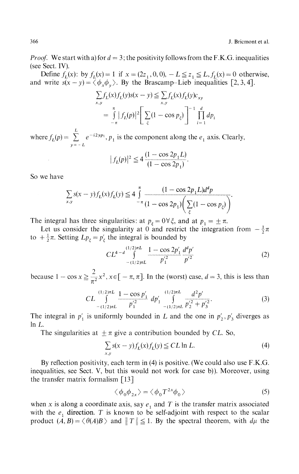*Proof.* We start with a) for  $d = 3$ ; the positivity follows from the F.K.G. inequalities (see Sect. IV).

Define  $f_L(x)$ : by  $f_L(x) = 1$  if  $x = (2z_1, 0, 0), -L \le z_1 \le L$ ,  $f_L(x) = 0$  otherwise, and write  $s(x - y) = \langle \phi_x \phi_y \rangle$ . By the Brascamp-Lieb inequalities [2, 3, 4].

$$
\sum_{x,y} f_L(x) f_L(y) s(x - y) \leq \sum_{x,y} f_L(x) f_L(y) c_{xy}
$$
  
= 
$$
\int_{-\pi}^{\pi} |f_L(p)|^2 \left[ \sum_{\xi} (1 - \cos p_{\xi}) \right]^{-1} \prod_{i=1}^d dp_i
$$

where  $f_L(p) = \sum_{n=0}^{L} e^{-i2yp_1}$ ,  $p_1$  is the component along the  $e_1$  axis. Clearly,

$$
|f_L(p)|^2 \le 4 \frac{(1 - \cos 2p_1 L)}{(1 - \cos 2p_1)}.
$$

So we have

$$
\sum_{x,y} s(x-y) f_L(x) f_L(y) \le 4 \int_{-\pi}^{\pi} \frac{(1 - \cos 2p_1 L) d^d p}{(1 - \cos 2p_1) (\sum_{\xi} (1 - \cos p_{\xi}))}
$$

The integral has three singularities: at  $p_{\xi} = 0 \forall \xi$ , and at  $p_1 = \pm \pi$ .

Let us consider the singularity at 0 and restrict the integration from  $-\frac{1}{2}\pi$ to  $+\frac{1}{2}\pi$ . Setting  $Lp_{\xi} = p'_{\xi}$  the integral is bounded by

$$
CL^{4-d} \int_{-(1/2)\pi L}^{(1/2)\pi L} \frac{1 - \cos 2p'_1}{p'_1} \frac{d^d p'}{p'^2} \tag{2}
$$

because  $1 - \cos x \ge \frac{2}{\pi^2} x^2, x \in [-\pi, \pi]$ . In the (worst) case,  $d = 3$ , this is less than

$$
CL \int_{-(1/2)\pi L}^{(1/2)\pi L} \frac{1 - \cos p'_1}{p'_1{}^2} dp'_1 \int_{-(1/2)\pi L}^{(1/2)\pi L} \frac{d^2 p'}{p'_2{}^2 + p'_3{}^2}.
$$
 (3)

The integral in  $p'_1$  is uniformly bounded in L and the one in  $p'_2, p'_3$  diverges as  $ln L$ .

The singularities at  $\pm \pi$  give a contribution bounded by CL. So,

$$
\sum_{x,y} s(x-y) f_L(x) f_L(y) \leq CL \ln L. \tag{4}
$$

By reflection positivity, each term in (4) is positive. (We could also use F.K.G. inequalities, see Sect. V, but this would not work for case b)). Moreover, using the transfer matrix formalism  $\lceil 13 \rceil$ 

$$
\langle \phi_0 \phi_{2x} \rangle = \langle \phi_0 T^{2x} \phi_0 \rangle \tag{5}
$$

when x is along a coordinate axis, say  $e_1$  and T is the transfer matrix associated with the  $e_1$  direction. *T* is known to be self-adjoint with respect to the scalar product  $(A, B) = \langle \theta(A)B \rangle$  and  $||T|| \leq 1$ . By the spectral theorem, with  $d\mu$  the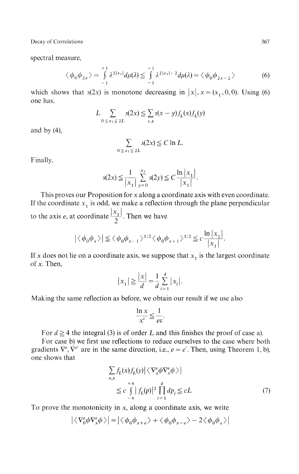Decay of Correlations

spectral measure,

$$
\langle \phi_0 \phi_{2x} \rangle = \int\limits_{-1}^{+1} \lambda^{2|x_1|} d\mu(\lambda) \le \int\limits_{-1}^{+1} \lambda^{2|x_1| - 2} d\mu(\lambda) = \langle \phi_0 \phi_{2x - 2} \rangle \tag{6}
$$

which shows that  $s(2x)$  is monotone decreasing in  $|x|, x = (x_1, 0, 0)$ . Using (6) one has,

$$
L \sum_{0 \le x_1 \le 2L} s(2x) \le \sum_{x,y} s(x-y) f_L(x) f_L(y)
$$

and by  $(4)$ ,

$$
\sum_{0 \le x_1 \le 2L} s(2x) \le C \ln L.
$$

Finally,

$$
s(2x) \le \frac{1}{|x_1|} \sum_{y=0}^{x_1} s(2y) \le C \frac{\ln |x_1|}{|x_1|}.
$$

This proves our Proposition for x along a coordinate axis with even coordinate. If the coordinate  $x_1$  is odd, we make a reflection through the plane perpendicular to the axis *e*, at coordinate  $\frac{|x_1|}{2}$ . Then we have

$$
\left| \langle \phi_0 \phi_x \rangle \right| \le \langle \phi_0 \phi_{x-1} \rangle^{1/2} \langle \phi_0 \phi_{x+1} \rangle^{1/2} \le c \frac{\ln|x_1|}{|x_1|}.
$$

If *x* does not lie on a coordinate axis, we suppose that *x<sup>1</sup>* is the largest coordinate of *x.* Then,

$$
|x_1| \ge \frac{|x|}{d} = \frac{1}{d} \sum_{i=1}^d |x_i|.
$$

Making the same reflection as before, we obtain our result if we use also

$$
\frac{\ln x}{x^{\varepsilon}} \leqq \frac{1}{e\varepsilon}.
$$

For  $d \ge 4$  the integral (3) is of order L and this finishes the proof of case a).

For case b) we first use reflections to reduce ourselves to the case where both gradients  $\nabla^e$ ,  $\nabla^{e'}$  are in the same direction, i.e.,  $e = e'$ . Then, using Theorem 1, b), one shows that

$$
\sum_{x,y} f_L(x) f_L(y) \Big| \Big\langle \nabla_x^e \phi \nabla_x^e \phi \Big\rangle \Big|
$$
  

$$
\leq c \int_{-\pi}^{+\pi} |f_L(p)|^2 \prod_{i=1}^d dp_i \leq cL
$$
 (7)

To prove the monotonicity in x, along a coordinate axis, we write

$$
\big|\big\langle\nabla^e_0\phi\nabla^e_x\phi\big\rangle\big|=\big|\big\langle\phi_0\phi_{x+e}\big\rangle+\big\langle\phi_0\phi_{x-e}\big\rangle-2\big\langle\phi_0\phi_{x}\big\rangle\big|
$$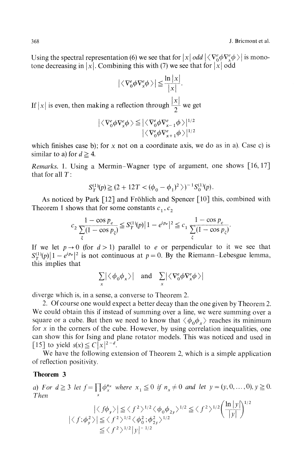Using the spectral representation (6) we see that for  $|x|$  *odd*  $|\langle \nabla^e_{0} \phi \nabla^e_{x} \phi \rangle|$  is mono tone decreasing in  $|x|$ . Combining this with (7) we see that for  $|x|$  odd

$$
\left|\langle \nabla_0^e \phi \nabla_x^e \phi \rangle \right| \leq \frac{\ln|x|}{|x|}.
$$

If  $|x|$  is even, then making a reflection through  $\frac{|x|}{2}$  we get

$$
\begin{aligned} \left| \langle \nabla_0^e \phi \nabla_x^e \phi \rangle \leq & \left| \langle \nabla_0^e \phi \nabla_{x-1}^e \phi \rangle \right|^{1/2} \\ & \left| \langle \nabla_0^e \phi \nabla_{x+1}^e \phi \rangle \right|^{1/2} \end{aligned}
$$

which finishes case b); for *x* not on a coordinate axis, we do as in a). Case c) is similar to a) for  $d \geq 4$ .

*Remarks,* 1. Using a Mermin-Wagner type of argument, one shows [16,17] that for all  $T$ :

$$
S_T^{(1)}(p) \geq (2 + 12T < (\phi_0 - \phi_1)^2>)^{-1} S_0^{(1)}(p).
$$

As noticed by Park [12] and Fröhlich and Spencer [10] this, combined with Theorem 1 shows that for some constants  $c_1$ ,  $c_2$ 

$$
c_2 \frac{1 - \cos p_e}{\sum_{\xi} (1 - \cos p_{\xi})} \le S_T^{(1)}(p) |1 - e^{ip_e}|^2 \le c_1 \frac{1 - \cos p_e}{\sum_{\xi} (1 - \cos p_{\xi})}
$$

If we let  $p \rightarrow 0$  (for  $d > 1$ ) parallel to *e* or perpendicular to it we see that  $S^{(1)}(p) \left| 1 - e^{ip_e} \right|^2$  is not continuous at  $p = 0$ . By the Riemann-Lebesgue lemma, this implies that

$$
\sum_{x} \left| \left\langle \phi_{0} \phi_{x} \right\rangle \right| \quad \text{and} \quad \sum_{x} \left| \left\langle \nabla_{0}^{e} \phi \nabla_{x}^{e} \phi \right\rangle \right|
$$

diverge which is, in a sense, a converse to Theorem 2.

2. Of course one would expect a better decay than the one given by Theorem 2. We could obtain this if instead of summing over a line, we were summing over a square or a cube. But then we need to know that  $\langle \phi_0 \phi_x \rangle$  reaches its minimum for *x* in the corners of the cube. However, by using correlation inequalities, one can show this for Ising and plane rotator models. This was noticed and used in  $[15]$  to yield  $s(x) \leq C|x|^{2-d}$ .

We have the following extension of Theorem 2, which is a simple application of reflection positivity.

#### **Theorem 3**

*a)* For  $d \ge 3$  let  $f = \prod_{x} \phi_x^{n_x}$  where  $x_1 \le 0$  if  $n_x \ne 0$  and let  $y = (y, 0, \ldots, 0), y \ge 0$ . *Then*

$$
\left| \langle f\phi_y \rangle \right| \le \langle f^2 \rangle^{1/2} \langle \phi_0 \phi_{2y} \rangle^{1/2} \le \langle f^2 \rangle^{1/2} \left( \frac{\ln |y|}{|y|} \right)^{1/2}
$$
  

$$
\left| \langle f; \phi_y^2 \rangle \right| \le \langle f^2 \rangle^{1/2} \langle \phi_0^2; \phi_{2y}^2 \rangle^{1/2}
$$
  

$$
\le \langle f^2 \rangle^{1/2} |y|^{-1/2}
$$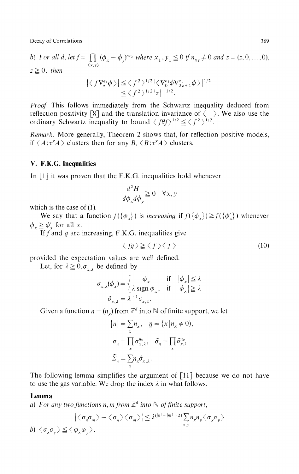Decay of Correlations 369

*b)* For all d, let  $f = \prod (\phi_x - \phi_y)^{n_{xy}}$  where  $x_1, y_1 \leq 0$  if  $n_{xy}$  $z \geq 0$ ; then

$$
\left| \langle f \nabla_z^{e_1} \phi \rangle \right| \leq \langle f^2 \rangle^{1/2} \left| \langle \nabla_0^{e_1} \phi \nabla_{2z+1}^{e_1} \phi \rangle \right|^{1/2}
$$
  

$$
\leq \langle f^2 \rangle^{1/2} |z|^{-1/2}.
$$

*Proof.* This follows immediately from the Schwartz inequality deduced from reflection positivity [8] and the translation invariance of  $\langle \rangle$ . We also use the ordinary Schwartz inequality to bound  $\langle f \theta f \rangle^{1/2} \leq \langle f^2 \rangle^{1/2}$ .

*Remark.* More generally, Theorem 2 shows that, for reflection positive models, if  $\langle A; \tau^x A \rangle$  clusters then for any  $B, \langle B; \tau^x A \rangle$  clusters.

# **V. F.K.G. Inequalities**

In  $\lceil 1 \rceil$  it was proven that the F.K.G. inequalities hold whenever

$$
\frac{d^2H}{d\phi_x d\phi_y} \ge 0 \quad \forall x, y
$$

which is the case of  $(1)$ .

 $W_e$  say that a fund  $\phi_x \ge \phi'_x$  for all *x*.  $\frac{1}{2}$ 

 $\sqrt{\frac{1}{f}} \int_{0}^{x} f(x) \, dx$  are  $\frac{1}{\sqrt{2}}$  and  $\frac{1}{\sqrt{2}}$  in  $\frac{1}{\sqrt{2}}$  in  $\frac{1}{\sqrt{2}}$  in  $\frac{1}{\sqrt{2}}$  in  $\frac{1}{\sqrt{2}}$  in  $\frac{1}{\sqrt{2}}$ 

$$
\langle fg \rangle \ge \langle f \rangle \langle f \rangle \tag{10}
$$

provided the expectation values are well defined.

Let, for  $\lambda \geq 0, \sigma_{\lambda,\lambda}$  be defined by

$$
\sigma_{x,\lambda}(\phi_x) = \begin{cases}\n\phi_x & \text{if } |\phi_x| \le \lambda \\
\lambda \operatorname{sign} \phi_x, & \text{if } |\phi_x| \ge \lambda \\
\tilde{\sigma}_{x,\lambda} = \lambda^{-1} \sigma_{x,\lambda}.\n\end{cases}
$$

Given a function  $n = (n_x)$  from  $\mathbb{Z}^d$  into  $\mathbb N$  of finite support, we let

$$
|n| = \sum_{x} n_x, \quad \underline{n} = \{x | n_x \neq 0\}
$$

$$
\sigma_n = \prod_{x} \sigma_{x,\lambda}^{n_x}, \quad \tilde{\sigma}_n = \prod_{x} \tilde{\sigma}_{x,\lambda}^{n_x}
$$

$$
\tilde{\Sigma}_n = \sum_{x} n_x \tilde{\sigma}_{x,\lambda}.
$$

The following lemma simplifies the argument of [11] because we do not have to use the gas variable. We drop the index *λ* in what follows.

#### **Lemma**

*a*) For any two functions n, m from  $\mathbb{Z}^d$  into  $\mathbb{N}$  of finite support,

$$
\left| \langle \sigma_n \sigma_m \rangle - \langle \sigma_n \rangle \langle \sigma_m \rangle \right| \leq \lambda^{(|n| + |m| - 2)} \sum_{x,y} n_x n_y \langle \sigma_x \sigma_y \rangle
$$
  

$$
b) \langle \sigma_x \sigma_y \rangle \leq \langle \varphi_x \varphi_y \rangle.
$$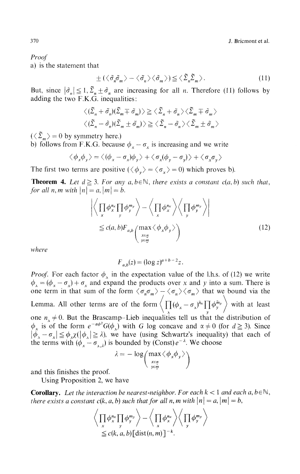370 J. Bricmont et al.

*Proof*

a) is the statement that

$$
\pm (\langle \tilde{\sigma}_n \tilde{\sigma}_m \rangle - \langle \tilde{\sigma}_n \rangle \langle \tilde{\sigma}_m \rangle) \leq \langle \tilde{\Sigma}_n \tilde{\Sigma}_m \rangle. \tag{11}
$$

But, since  $|\tilde{\sigma}_n| \leq 1$ ,  $\sum_{n=1}^{\infty} \tilde{\sigma}_n$  are increasing for all *n*. Therefore (11) follows by adding the two F.K.G. inequalities:

$$
\langle (\tilde{\Sigma}_n + \tilde{\sigma}_n)(\tilde{\Sigma}_m + \tilde{\sigma}_m) \rangle \ge \langle \tilde{\Sigma}_n + \tilde{\sigma}_n \rangle \langle \tilde{\Sigma}_m + \tilde{\sigma}_m \rangle
$$
  

$$
\langle (\tilde{\Sigma}_n - \tilde{\sigma}_n)(\tilde{\Sigma}_m + \tilde{\sigma}_m) \rangle \ge \langle \tilde{\Sigma}_n - \tilde{\sigma}_n \rangle \langle \tilde{\Sigma}_m + \tilde{\sigma}_m \rangle
$$

 $(\langle \tilde{\Sigma}_m \rangle = 0$  by symmetry here.)

b) follows from F.K.G. because  $\phi_x - \sigma_x$  is increasing and we write

$$
\langle \phi_x \phi_y \rangle = \langle (\phi_x - \sigma_x) \phi_y \rangle + \langle \sigma_x (\phi_y - \sigma_y) \rangle + \langle \sigma_x \sigma_y \rangle
$$

The first two terms are positive  $(\langle \phi_v \rangle = \langle \sigma_x \rangle = 0)$  which proves b).

**Theorem 4.** Let  $d \geq 3$ . For any  $a, b \in \mathbb{N}$ , there exists a constant c(a, b) such that, *for all n, m with*  $|n| = a$ ,  $|m| = b$ .

$$
\left| \left\langle \prod_{x} \phi_{x}^{n_{x}} \prod_{y} \phi_{y}^{m_{y}} \right\rangle - \left\langle \prod_{x} \phi_{x}^{n_{x}} \right\rangle \left\langle \prod_{y} \phi_{y}^{m_{y}} \right\rangle \right|
$$
\n
$$
\leq c(a, b) F_{a, b} \left( \max_{\substack{x \in \underline{n} \\ y \in \underline{m}}} \left\langle \phi_{x} \phi_{y} \right\rangle \right) \tag{12}
$$

where

$$
F_{a,b}(z) = (\log z)^{a+b-2}z.
$$

*Proof.* For each factor  $\phi_x$  in the expectation value of the l.h.s. of (12) we write  $\sigma_x = (\phi_x - \sigma_x) + \sigma_x$  and expand the products over x and y into a sum. There is one term in that sum of the form  $\langle \sigma_n \sigma_m \rangle - \langle \sigma_n \rangle \langle \sigma_m \rangle$  that we bound via the Lemma. All other terms are of the form  $\langle \prod (\phi_x - \sigma_x)^{\tilde{n}_x} \prod \phi_y^{\tilde{n}_y} \rangle$  with at least **\ λ** *y I* one  $n_x \neq 0$ . But the Brascamp-Lieb inequalities tell us that the distribution of *x* is of the form  $e^{-\alpha\varphi}G(\phi_x)$  with *G* log concave and  $\alpha \neq 0$  (for  $d \geq 3$ ). Since  $|\phi_x - \sigma_x| \leq \phi_x \chi(|\phi_x| \geq \lambda)$ , we have (using Schwartz's inequality) that each of the terms with  $(\phi_x - \sigma_{x,\lambda})$  is bounded by (Const)  $e^{-\lambda}$ . We choose

$$
\lambda = -\log\left(\max_{\substack{x \in \underline{n} \\ y \in \underline{m}}} \langle \phi_x \phi_y \rangle\right)
$$

and this finishes the proof.

Using Proposition 2, we have

**Corollary.** Let the interaction be nearest-neighbor. For each  $k < 1$  and each a,  $b \in \mathbb{N}$ , *there exists a constant*  $c(k, a, b)$  *such that for all n, m with*  $|n| = a$ ,  $|m| = b$ ,

$$
\left\langle \prod_{x} \phi_{x}^{n_{x}} \prod_{y} \phi_{y}^{m_{y}} \right\rangle - \left\langle \prod_{x} \phi_{x}^{n_{x}} \right\rangle \left\langle \prod_{y} \phi_{y}^{m_{y}} \right\rangle
$$
  
\n $\leq c(k, a, b) [\text{dist}(n, m)]^{-k}.$